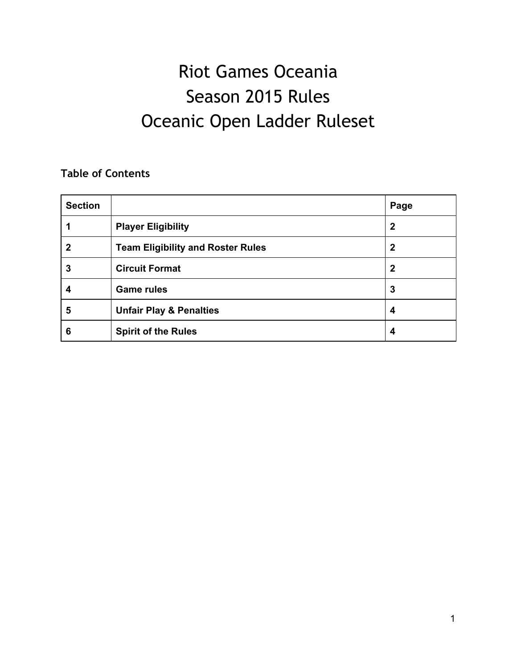# Riot Games Oceania Season 2015 Rules Oceanic Open Ladder Ruleset

# **Table of Contents**

| <b>Section</b> |                                          | Page             |
|----------------|------------------------------------------|------------------|
|                | <b>Player Eligibility</b>                | $\boldsymbol{2}$ |
| 2              | <b>Team Eligibility and Roster Rules</b> | $\mathbf{2}$     |
| 3              | <b>Circuit Format</b>                    | $\overline{2}$   |
| 4              | <b>Game rules</b>                        | 3                |
| 5              | <b>Unfair Play &amp; Penalties</b>       | 4                |
| 6              | <b>Spirit of the Rules</b>               | 4                |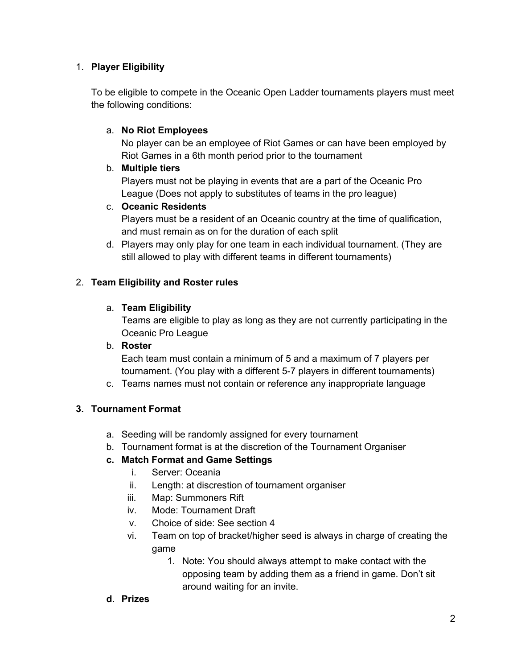## 1. **Player Eligibility**

To be eligible to compete in the Oceanic Open Ladder tournaments players must meet the following conditions:

#### a. **No Riot Employees**

No player can be an employee of Riot Games or can have been employed by Riot Games in a 6th month period prior to the tournament

#### b. **Multiple tiers**

Players must not be playing in events that are a part of the Oceanic Pro League (Does not apply to substitutes of teams in the pro league)

#### c. **Oceanic Residents**

Players must be a resident of an Oceanic country at the time of qualification, and must remain as on for the duration of each split

d. Players may only play for one team in each individual tournament. (They are still allowed to play with different teams in different tournaments)

#### 2. **Team Eligibility and Roster rules**

#### a. **Team Eligibility**

Teams are eligible to play as long as they are not currently participating in the Oceanic Pro League

#### b. **Roster**

Each team must contain a minimum of 5 and a maximum of 7 players per tournament. (You play with a different 5-7 players in different tournaments)

c. Teams names must not contain or reference any inappropriate language

## **3. Tournament Format**

- a. Seeding will be randomly assigned for every tournament
- b. Tournament format is at the discretion of the Tournament Organiser

## **c. Match Format and Game Settings**

- i. Server: Oceania
- ii. Length: at discrestion of tournament organiser
- iii. Map: Summoners Rift
- iv. Mode: Tournament Draft
- v. Choice of side: See section 4
- vi. Team on top of bracket/higher seed is always in charge of creating the game
	- 1. Note: You should always attempt to make contact with the opposing team by adding them as a friend in game. Don't sit around waiting for an invite.

#### **d. Prizes**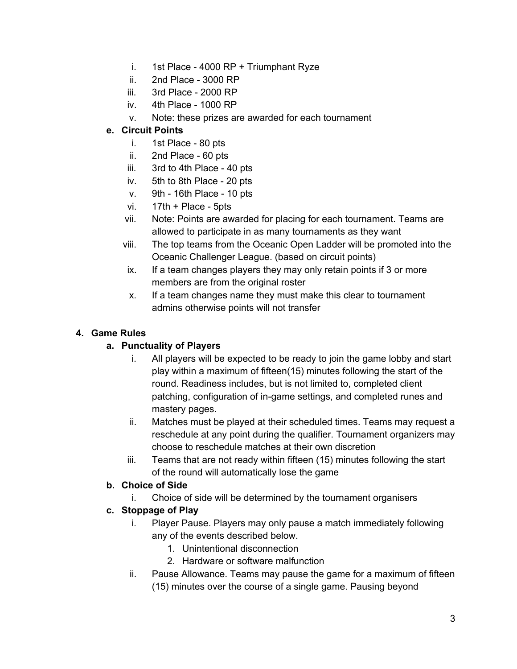- i. 1st Place 4000 RP + Triumphant Ryze
- ii.  $2nd$  Place 3000 RP
- iii.  $3rd$  Place 2000 RP
- iv.  $4th$  Place 1000 RP
- v. Note: these prizes are awarded for each tournament

#### **e. Circuit Points**

- i.  $1st$  Place 80 pts
- ii.  $2nd$  Place 60 pts
- iii.  $3rd$  to 4th Place 40 pts
- iv. 5th to 8th Place 20 pts
- $v.$  9th 16th Place 10 pts
- vi.  $17th +$  Place 5pts
- vii. Note: Points are awarded for placing for each tournament. Teams are allowed to participate in as many tournaments as they want
- viii. The top teams from the Oceanic Open Ladder will be promoted into the Oceanic Challenger League. (based on circuit points)
- ix. If a team changes players they may only retain points if 3 or more members are from the original roster
- x. If a team changes name they must make this clear to tournament admins otherwise points will not transfer

#### **4. Game Rules**

#### **a. Punctuality of Players**

- i. All players will be expected to be ready to join the game lobby and start play within a maximum of fifteen(15) minutes following the start of the round. Readiness includes, but is not limited to, completed client patching, configuration of in-game settings, and completed runes and mastery pages.
- ii. Matches must be played at their scheduled times. Teams may request a reschedule at any point during the qualifier. Tournament organizers may choose to reschedule matches at their own discretion
- iii. Teams that are not ready within fifteen (15) minutes following the start of the round will automatically lose the game

#### **b. Choice of Side**

i. Choice of side will be determined by the tournament organisers

#### **c. Stoppage of Play**

- i. Player Pause. Players may only pause a match immediately following any of the events described below.
	- 1. Unintentional disconnection
	- 2. Hardware or software malfunction
- ii. Pause Allowance. Teams may pause the game for a maximum of fifteen (15) minutes over the course of a single game. Pausing beyond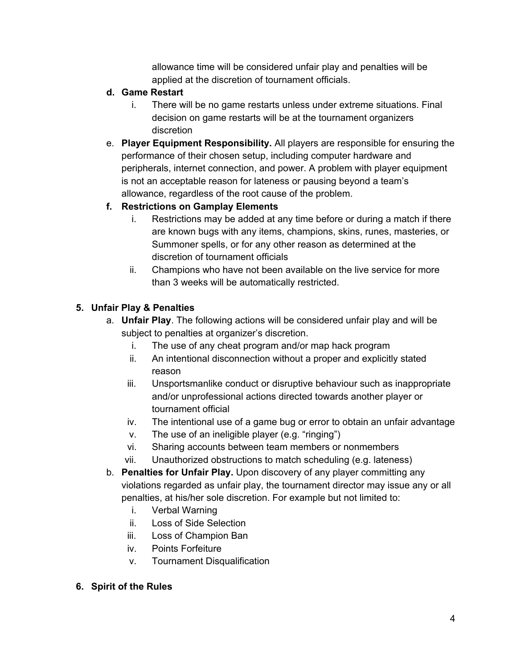allowance time will be considered unfair play and penalties will be applied at the discretion of tournament officials.

## **d. Game Restart**

- i. There will be no game restarts unless under extreme situations. Final decision on game restarts will be at the tournament organizers discretion
- e. **Player Equipment Responsibility.** All players are responsible for ensuring the performance of their chosen setup, including computer hardware and peripherals, internet connection, and power. A problem with player equipment is not an acceptable reason for lateness or pausing beyond a team's allowance, regardless of the root cause of the problem.

# **f. Restrictions on Gamplay Elements**

- i. Restrictions may be added at any time before or during a match if there are known bugs with any items, champions, skins, runes, masteries, or Summoner spells, or for any other reason as determined at the discretion of tournament officials
- ii. Champions who have not been available on the live service for more than 3 weeks will be automatically restricted.

# **5. Unfair Play & Penalties**

- a. **Unfair Play**. The following actions will be considered unfair play and will be subject to penalties at organizer's discretion.
	- i. The use of any cheat program and/or map hack program
	- ii. An intentional disconnection without a proper and explicitly stated reason
	- iii. Unsportsmanlike conduct or disruptive behaviour such as inappropriate and/or unprofessional actions directed towards another player or tournament official
	- iv. The intentional use of a game bug or error to obtain an unfair advantage
	- v. The use of an ineligible player (e.g. "ringing")
	- vi. Sharing accounts between team members or nonmembers
	- vii. Unauthorized obstructions to match scheduling (e.g. lateness)
- b. **Penalties for Unfair Play.** Upon discovery of any player committing any violations regarded as unfair play, the tournament director may issue any or all penalties, at his/her sole discretion. For example but not limited to:
	- i. Verbal Warning
	- ii. Loss of Side Selection
	- iii. Loss of Champion Ban
	- iv. Points Forfeiture
	- v. Tournament Disqualification

#### **6. Spirit of the Rules**